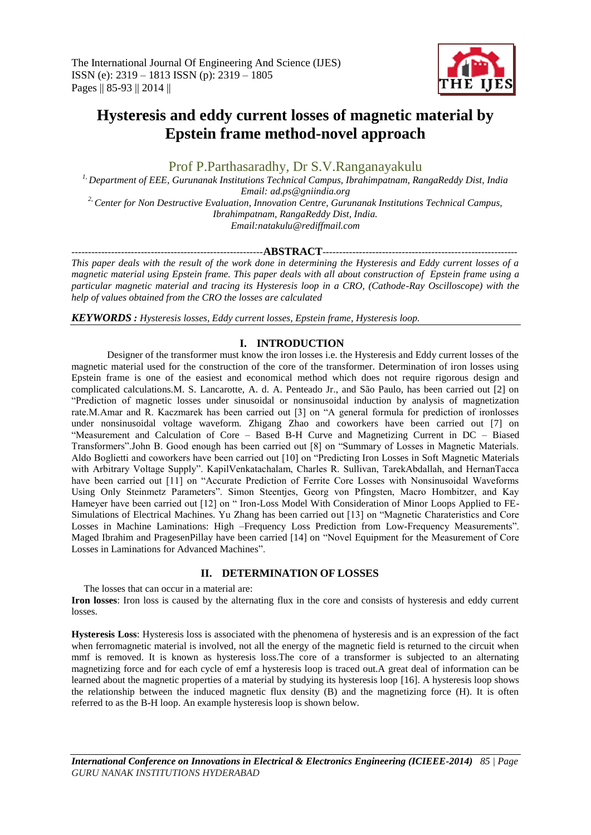

# **Hysteresis and eddy current losses of magnetic material by Epstein frame method-novel approach**

Prof P.Parthasaradhy*,* Dr S.V.Ranganayakulu

*1, Department of EEE, Gurunanak Institutions Technical Campus, Ibrahimpatnam, RangaReddy Dist, India Email: ad.ps@gniindia.org 2, Center for Non Destructive Evaluation, Innovation Centre, Gurunanak Institutions Technical Campus, Ibrahimpatnam, RangaReddy Dist, India. Email:natakulu@rediffmail.com*

### *----------------------------------------------------------***ABSTRACT***-----------------------------------------------------------*

*This paper deals with the result of the work done in determining the Hysteresis and Eddy current losses of a magnetic material using Epstein frame. This paper deals with all about construction of Epstein frame using a particular magnetic material and tracing its Hysteresis loop in a CRO, (Cathode-Ray Oscilloscope) with the help of values obtained from the CRO the losses are calculated*

*KEYWORDS : Hysteresis losses, Eddy current losses, Epstein frame, Hysteresis loop.*

# **I. INTRODUCTION**

Designer of the transformer must know the iron losses i.e. the Hysteresis and Eddy current losses of the magnetic material used for the construction of the core of the transformer. Determination of iron losses using Epstein frame is one of the easiest and economical method which does not require rigorous design and complicated calculations.M. S. Lancarotte, A. d. A. Penteado Jr., and São Paulo, has been carried out [2] on "Prediction of magnetic losses under sinusoidal or nonsinusoidal induction by analysis of magnetization rate.M.Amar and R. Kaczmarek has been carried out [3] on "A general formula for prediction of ironlosses under nonsinusoidal voltage waveform. Zhigang Zhao and coworkers have been carried out [7] on "Measurement and Calculation of Core – Based B-H Curve and Magnetizing Current in DC – Biased Transformers".John B. Good enough has been carried out [8] on "Summary of Losses in Magnetic Materials. Aldo Boglietti and coworkers have been carried out [10] on "Predicting Iron Losses in Soft Magnetic Materials with Arbitrary Voltage Supply". KapilVenkatachalam, Charles R. Sullivan, TarekAbdallah, and HernanTacca have been carried out [11] on "Accurate Prediction of Ferrite Core Losses with Nonsinusoidal Waveforms Using Only Steinmetz Parameters". Simon Steentjes, Georg von Pfingsten, Macro Hombitzer, and Kay Hameyer have been carried out [12] on " Iron-Loss Model With Consideration of Minor Loops Applied to FE-Simulations of Electrical Machines. Yu Zhang has been carried out [13] on "Magnetic Charateristics and Core Losses in Machine Laminations: High –Frequency Loss Prediction from Low-Frequency Measurements". Maged Ibrahim and PragesenPillay have been carried [14] on "Novel Equipment for the Measurement of Core Losses in Laminations for Advanced Machines".

## **II. DETERMINATION OF LOSSES**

The losses that can occur in a material are:

**Iron losses**: Iron loss is caused by the alternating flux in the core and consists of hysteresis and eddy current losses.

**Hysteresis Loss**: Hysteresis loss is associated with the phenomena of hysteresis and is an expression of the fact when ferromagnetic material is involved, not all the energy of the magnetic field is returned to the circuit when mmf is removed. It is known as hysteresis loss.The core of a transformer is subjected to an alternating magnetizing force and for each cycle of emf a hysteresis loop is traced out.A great deal of information can be learned about the magnetic properties of a material by studying its hysteresis loop [16]. A hysteresis loop shows the relationship between the induced magnetic flux density (B) and the magnetizing force (H). It is often referred to as the B-H loop. An example hysteresis loop is shown below.

*International Conference on Innovations in Electrical & Electronics Engineering (ICIEEE-2014) 85 | Page GURU NANAK INSTITUTIONS HYDERABAD*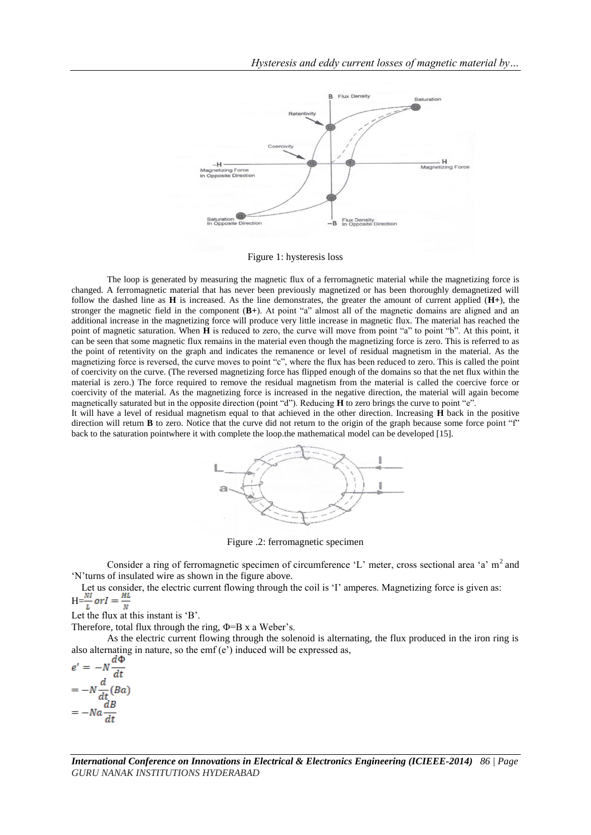

Figure 1: hysteresis loss

The loop is generated by measuring the magnetic flux of a ferromagnetic material while the magnetizing force is changed. A ferromagnetic material that has never been previously magnetized or has been thoroughly demagnetized will follow the dashed line as  $H$  is increased. As the line demonstrates, the greater the amount of current applied  $(H<sup>+</sup>)$ , the stronger the magnetic field in the component (**B+**). At point "a" almost all of the magnetic domains are aligned and an additional increase in the magnetizing force will produce very little increase in magnetic flux. The material has reached the point of magnetic saturation. When **H** is reduced to zero, the curve will move from point "a" to point "b". At this point, it can be seen that some magnetic flux remains in the material even though the magnetizing force is zero. This is referred to as the point of retentivity on the graph and indicates the remanence or level of residual magnetism in the material. As the magnetizing force is reversed, the curve moves to point "c", where the flux has been reduced to zero. This is called the point of coercivity on the curve. (The reversed magnetizing force has flipped enough of the domains so that the net flux within the material is zero.) The force required to remove the residual magnetism from the material is called the coercive force or coercivity of the material. As the magnetizing force is increased in the negative direction, the material will again become magnetically saturated but in the opposite direction (point "d"). Reducing **H** to zero brings the curve to point "e".

It will have a level of residual magnetism equal to that achieved in the other direction. Increasing **H** back in the positive direction will return **B** to zero. Notice that the curve did not return to the origin of the graph because some force point "f" back to the saturation pointwhere it with complete the loop.the mathematical model can be developed [15].



Figure .2: ferromagnetic specimen

Consider a ring of ferromagnetic specimen of circumference 'L' meter, cross sectional area 'a'  $m<sup>2</sup>$  and "N"turns of insulated wire as shown in the figure above.

Let us consider, the electric current flowing through the coil is 'I' amperes. Magnetizing force is given as:  $H=$ 

Let the flux at this instant is 'B'.

Therefore, total flux through the ring,  $\Phi = B x$  a Weber's.

As the electric current flowing through the solenoid is alternating, the flux produced in the iron ring is also alternating in nature, so the emf $(e')$  induced will be expressed as,

$$
e' = -N \frac{d\Phi}{dt}
$$

$$
= -N \frac{d}{dt} (Ba)
$$

$$
= -Na \frac{dB}{dt}
$$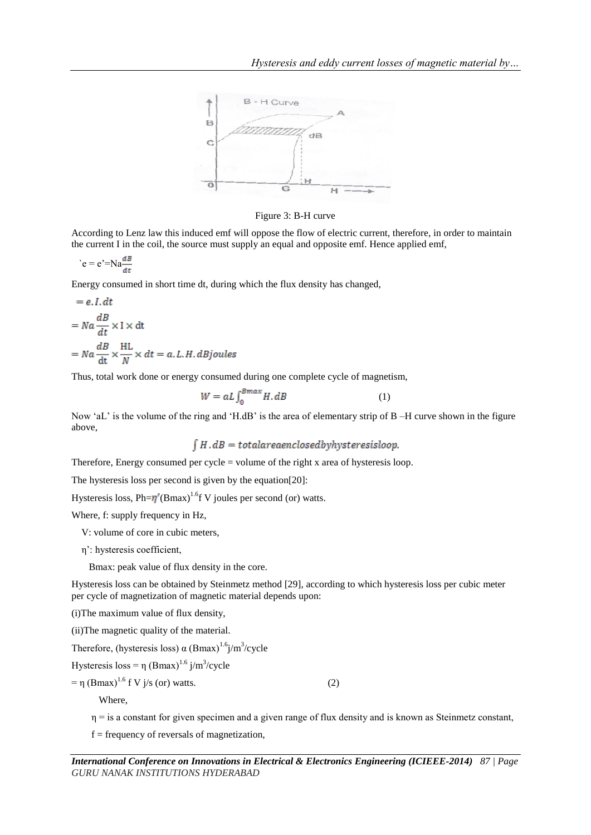

Figure 3: B-H curve

According to Lenz law this induced emf will oppose the flow of electric current, therefore, in order to maintain the current I in the coil, the source must supply an equal and opposite emf. Hence applied emf,

$$
e = e^{\prime} = Na \frac{dB}{dt}
$$

Energy consumed in short time dt, during which the flux density has changed,

$$
= e.I. dt
$$
  
= Na  $\frac{dB}{dt}$  × I × dt  
= Na  $\frac{dB}{dt}$  ×  $\frac{HL}{N}$  × dt = a.L.H. dBjoules

Thus, total work done or energy consumed during one complete cycle of magnetism,

$$
W = aL \int_0^{Bmax} H \, dB \tag{1}
$$

Now 'aL' is the volume of the ring and 'H.dB' is the area of elementary strip of B –H curve shown in the figure above,

$$
\int H \cdot dB = total area enclosed by hysteresis loop.
$$

Therefore, Energy consumed per cycle = volume of the right x area of hysteresis loop.

The hysteresis loss per second is given by the equation[20]:

Hysteresis loss,  $Ph = \eta' (Bmax)^{1.6}f$  V joules per second (or) watts.

Where, f: supply frequency in Hz,

- V: volume of core in cubic meters,
- η": hysteresis coefficient,

Bmax: peak value of flux density in the core.

Hysteresis loss can be obtained by Steinmetz method [29], according to which hysteresis loss per cubic meter per cycle of magnetization of magnetic material depends upon:

(i)The maximum value of flux density,

(ii)The magnetic quality of the material.

Therefore, (hysteresis loss)  $\alpha$  (Bmax)<sup>1.6</sup>j/m<sup>3</sup>/cycle

Hysteresis  $loss = \eta (Bmax)^{1.6} j/m^3/cycle$ 

 $= \eta \, (\text{Bmax})^{1.6} \, \text{f V } \, \text{j/s (or) watts.}$  (2)

Where,

 $\eta$  = is a constant for given specimen and a given range of flux density and is known as Steinmetz constant,

 $f = frequency of reversals of magnetization,$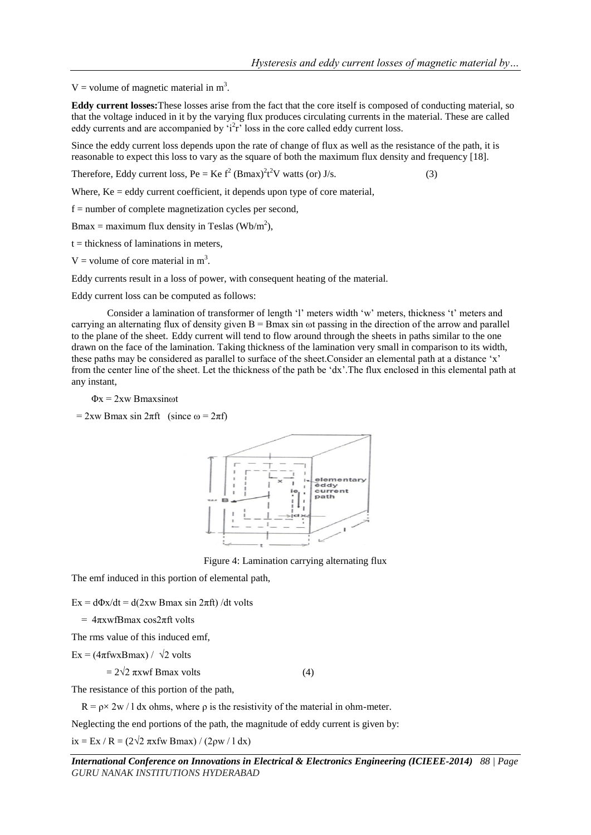V = volume of magnetic material in  $m<sup>3</sup>$ .

**Eddy current losses:**These losses arise from the fact that the core itself is composed of conducting material, so that the voltage induced in it by the varying flux produces circulating currents in the material. These are called eddy currents and are accompanied by  $i^2r$  loss in the core called eddy current loss.

Since the eddy current loss depends upon the rate of change of flux as well as the resistance of the path, it is reasonable to expect this loss to vary as the square of both the maximum flux density and frequency [18].

Therefore, Eddy current loss, Pe = Ke  $f^2$  (Bmax)<sup>2</sup>t<sup>2</sup>V watts (or) J/s. (3)

Where,  $Ke = eddy$  current coefficient, it depends upon type of core material,

f = number of complete magnetization cycles per second,

Bmax = maximum flux density in Teslas (Wb/m<sup>2</sup>),

 $t =$  thickness of laminations in meters,

 $V =$  volume of core material in m<sup>3</sup>.

Eddy currents result in a loss of power, with consequent heating of the material.

Eddy current loss can be computed as follows:

Consider a lamination of transformer of length 'l' meters width 'w' meters, thickness 't' meters and carrying an alternating flux of density given  $B = B$  max sin  $\omega t$  passing in the direction of the arrow and parallel to the plane of the sheet. Eddy current will tend to flow around through the sheets in paths similar to the one drawn on the face of the lamination. Taking thickness of the lamination very small in comparison to its width, these paths may be considered as parallel to surface of the sheet.Consider an elemental path at a distance "x" from the center line of the sheet. Let the thickness of the path be "dx".The flux enclosed in this elemental path at any instant,

#### $\Phi x = 2xw$  Bmaxsinot

= 2xw Bmax sin 2πft (since  $ω = 2πf$ )



Figure 4: Lamination carrying alternating flux

The emf induced in this portion of elemental path,

Ex =  $d\Phi x/dt = d(2xw Bmax \sin 2\pi ft) /dt$  volts

 $= 4πxwfBmax cos2πft volts$ 

The rms value of this induced emf,

 $Ex = (4\pi fwxBmax) / \sqrt{2}$  volts

 $= 2\sqrt{2} \pi x$ wf Bmax volts (4)

The resistance of this portion of the path,

 $R = \rho \times 2w / 1$  dx ohms, where  $\rho$  is the resistivity of the material in ohm-meter.

Neglecting the end portions of the path, the magnitude of eddy current is given by:

ix = Ex / R =  $(2\sqrt{2} \pi x$ fw Bmax) /  $(2\rho w / 1 dx)$ 

*International Conference on Innovations in Electrical & Electronics Engineering (ICIEEE-2014) 88 | Page GURU NANAK INSTITUTIONS HYDERABAD*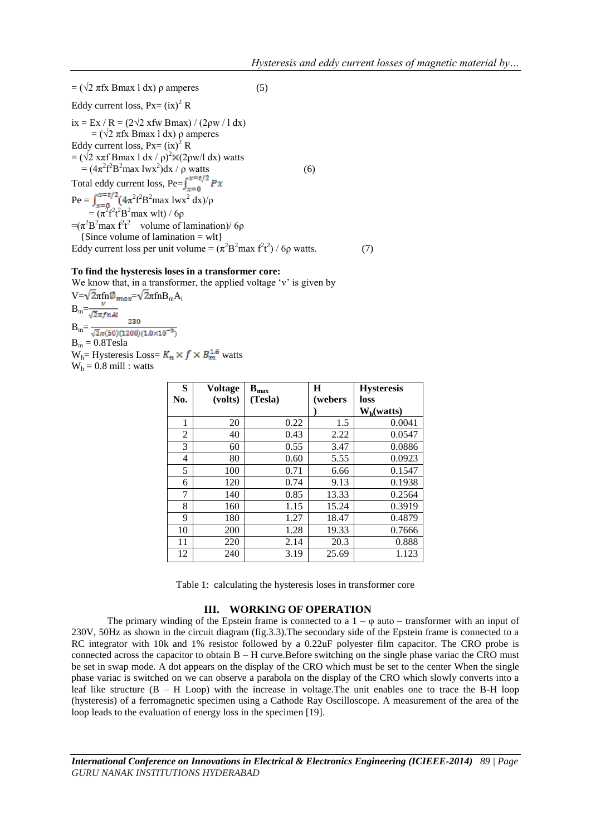$=$  ( $\sqrt{2}$  πfx Bmax l dx) ρ amperes (5) Eddy current loss,  $Px = (ix)^2 R$ ix = Ex / R = (2√2 xfw Bmax) / (2ρw / l dx)  $=$  ( $\sqrt{2}$  πfx Bmax l dx) ρ amperes Eddy current loss,  $Px = (ix)^2 R$ =  $(\sqrt{2} \times \pi f \text{ Bmax } 1 \text{ dx} / \rho)^2 \times (2 \rho \text{w/l dx})$  watts  $= (4\pi^2 f^2 B^2 max 1wx^2$  $\int dx / \rho$  watts (6) Total eddy current loss, Pe= Pe =  $\int_{x=0}^{x=\tau/2} (4\pi^2 f^2 B^2 \text{max} Iwx^2 dx)/\rho$ =  $(\pi^2 f^2 t^2 B^2 max$  wlt) / 6p  $=(\pi^2B^2\text{max }f^2t^2)$  volume of lamination)/6 $\rho$ {Since volume of lamination  $=$  wlt} Eddy current loss per unit volume =  $(\pi^2 B^2 \text{max } f^2 t^2) / 6\rho$  watts. (7)

#### **To find the hysteresis loses in a transformer core:**

We know that, in a transformer, the applied voltage 'v' is given by  $V=\sqrt{2\pi}$ fn $\omega_{max}=\sqrt{2\pi}$ fn $B_mA_i$  $B_m=$ 230  $B_m = \frac{230}{\sqrt{2}\pi(50)(1200)(1.0\times10^{-3})}$  $B_m = 0.8$ Tesla  $W_h$ = Hysteresis Loss=  $K_n \times f \times B_m^{1.6}$  watts  $W_h = 0.8$  mill : watts

| S   | <b>Voltage</b> | $\mathbf{B}_{\text{max}}$ | Н       | <b>Hysteresis</b> |
|-----|----------------|---------------------------|---------|-------------------|
| No. | (volts)        | (Tesla)                   | (webers | loss              |
|     |                |                           |         | $W_h(watts)$      |
| 1   | 20             | 0.22                      | 1.5     | 0.0041            |
| 2   | 40             | 0.43                      | 2.22    | 0.0547            |
| 3   | 60             | 0.55                      | 3.47    | 0.0886            |
| 4   | 80             | 0.60                      | 5.55    | 0.0923            |
| 5   | 100            | 0.71                      | 6.66    | 0.1547            |
| 6   | 120            | 0.74                      | 9.13    | 0.1938            |
| 7   | 140            | 0.85                      | 13.33   | 0.2564            |
| 8   | 160            | 1.15                      | 15.24   | 0.3919            |
| 9   | 180            | 1.27                      | 18.47   | 0.4879            |
| 10  | 200            | 1.28                      | 19.33   | 0.7666            |
| 11  | 220            | 2.14                      | 20.3    | 0.888             |
| 12  | 240            | 3.19                      | 25.69   | 1.123             |

Table 1: calculating the hysteresis loses in transformer core

### **III. WORKING OF OPERATION**

The primary winding of the Epstein frame is connected to a  $1 - \varphi$  auto – transformer with an input of 230V, 50Hz as shown in the circuit diagram (fig.3.3).The secondary side of the Epstein frame is connected to a RC integrator with 10k and 1% resistor followed by a 0.22uF polyester film capacitor. The CRO probe is connected across the capacitor to obtain B – H curve.Before switching on the single phase variac the CRO must be set in swap mode. A dot appears on the display of the CRO which must be set to the center When the single phase variac is switched on we can observe a parabola on the display of the CRO which slowly converts into a leaf like structure  $(B - H$  Loop) with the increase in voltage. The unit enables one to trace the B-H loop (hysteresis) of a ferromagnetic specimen using a Cathode Ray Oscilloscope. A measurement of the area of the loop leads to the evaluation of energy loss in the specimen [19].

*International Conference on Innovations in Electrical & Electronics Engineering (ICIEEE-2014) 89 | Page GURU NANAK INSTITUTIONS HYDERABAD*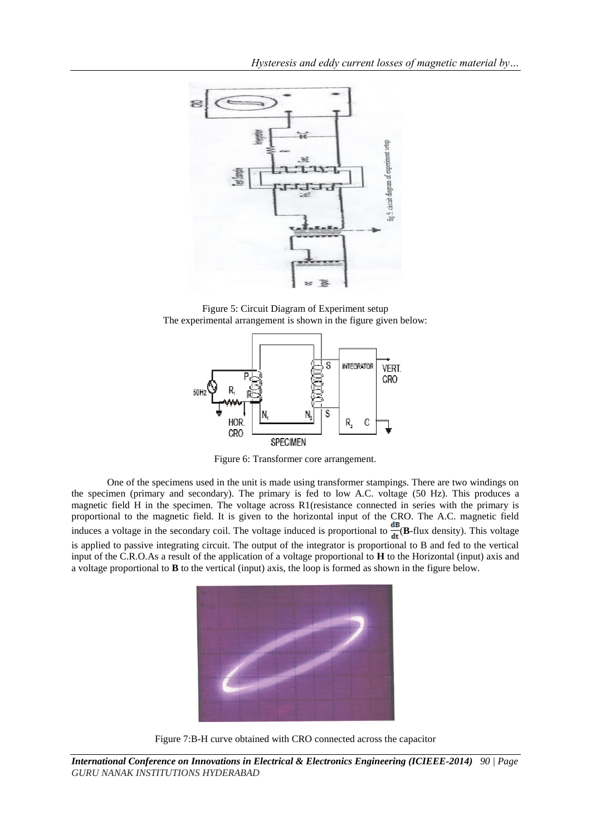

Figure 5: Circuit Diagram of Experiment setup The experimental arrangement is shown in the figure given below:



Figure 6: Transformer core arrangement.

One of the specimens used in the unit is made using transformer stampings. There are two windings on the specimen (primary and secondary). The primary is fed to low A.C. voltage (50 Hz). This produces a magnetic field H in the specimen. The voltage across R1(resistance connected in series with the primary is proportional to the magnetic field. It is given to the horizontal input of the CRO. The A.C. magnetic field induces a voltage in the secondary coil. The voltage induced is proportional to  $\frac{dB}{dt}(B-flux density)$ . This voltage is applied to passive integrating circuit. The output of the integrator is proportional to B and fed to the vertical input of the C.R.O.As a result of the application of a voltage proportional to **H** to the Horizontal (input) axis and a voltage proportional to **B** to the vertical (input) axis, the loop is formed as shown in the figure below.



Figure 7:B-H curve obtained with CRO connected across the capacitor

*International Conference on Innovations in Electrical & Electronics Engineering (ICIEEE-2014) 90 | Page GURU NANAK INSTITUTIONS HYDERABAD*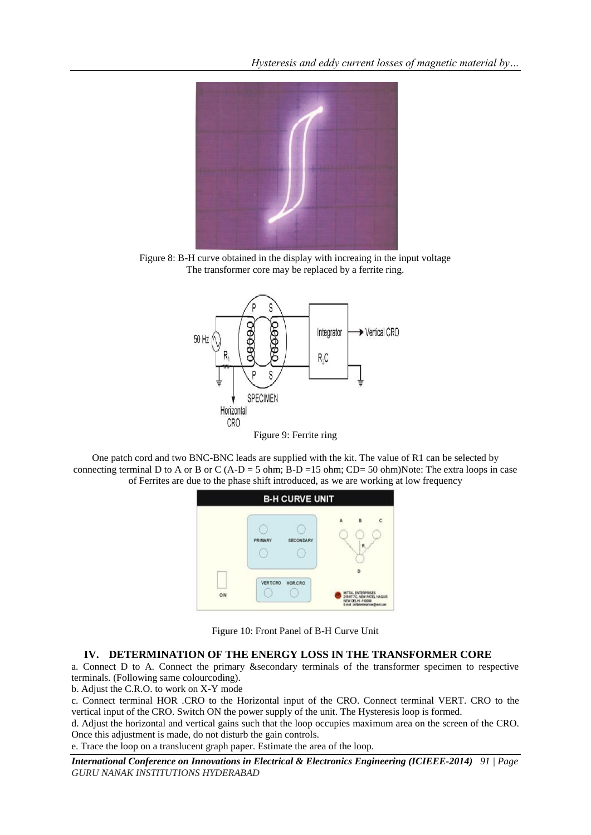

Figure 8: B-H curve obtained in the display with increaing in the input voltage The transformer core may be replaced by a ferrite ring.



One patch cord and two BNC-BNC leads are supplied with the kit. The value of R1 can be selected by connecting terminal D to A or B or C (A-D = 5 ohm; B-D = 15 ohm; CD= 50 ohm)Note: The extra loops in case of Ferrites are due to the phase shift introduced, as we are working at low frequency



Figure 10: Front Panel of B-H Curve Unit

### **IV. DETERMINATION OF THE ENERGY LOSS IN THE TRANSFORMER CORE**

a. Connect D to A. Connect the primary &secondary terminals of the transformer specimen to respective terminals. (Following same colourcoding).

b. Adjust the C.R.O. to work on X-Y mode

c. Connect terminal HOR .CRO to the Horizontal input of the CRO. Connect terminal VERT. CRO to the vertical input of the CRO. Switch ON the power supply of the unit. The Hysteresis loop is formed.

d. Adjust the horizontal and vertical gains such that the loop occupies maximum area on the screen of the CRO. Once this adjustment is made, do not disturb the gain controls.

e. Trace the loop on a translucent graph paper. Estimate the area of the loop.

*International Conference on Innovations in Electrical & Electronics Engineering (ICIEEE-2014) 91 | Page GURU NANAK INSTITUTIONS HYDERABAD*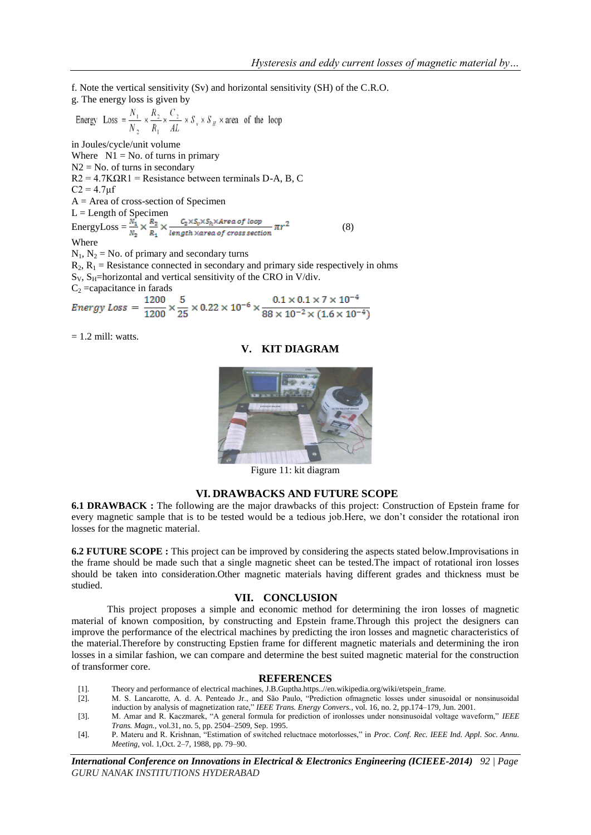f. Note the vertical sensitivity (Sv) and horizontal sensitivity (SH) of the C.R.O.

g. The energy loss is given by

Energy Loss = 
$$
\frac{N_1}{N_2}
$$
 ×  $\frac{R_2}{R_1}$  ×  $\frac{C_2}{AL}$  ×  $S_y$  ×  $S_H$  × area of the loop

in Joules/cycle/unit volume

Where  $N1 = No$  of turns in primary  $N2 = No$ . of turns in secondary  $R2 = 4.7K\Omega R1$  = Resistance between terminals D-A, B, C  $C2 = 4.7 \mu f$ A = Area of cross-section of Specimen  $L =$  Length of Specimen EnergyLoss =  $\frac{N_1}{N_2} \times \frac{R_2}{R_1} \times \frac{C_2 \times S_0 \times S_h \times Area \space of \space loop}{length \space x \space area \space of \space cross \space section} \pi r^2$  (8) Where  $N_1$ ,  $N_2$  = No. of primary and secondary turns  $R_2$ ,  $R_1$  = Resistance connected in secondary and primary side respectively in ohms

 $S_V$ ,  $S_H$ =horizontal and vertical sensitivity of the CRO in V/div.

C<sub>2</sub> =capacitance in farads<br>
Energy Loss =  $\frac{1200}{1200} \times \frac{5}{25} \times 0.22 \times 10^{-6} \times \frac{0.1 \times 0.1 \times 7 \times 10^{-4}}{88 \times 10^{-2} \times (1.6 \times 10^{-4})}$ 

 $= 1.2$  mill: watts.

**V. KIT DIAGRAM**

Figure 11: kit diagram

### **VI. DRAWBACKS AND FUTURE SCOPE**

**6.1 DRAWBACK :** The following are the major drawbacks of this project: Construction of Epstein frame for every magnetic sample that is to be tested would be a tedious job.Here, we don"t consider the rotational iron losses for the magnetic material.

**6.2 FUTURE SCOPE :** This project can be improved by considering the aspects stated below.Improvisations in the frame should be made such that a single magnetic sheet can be tested.The impact of rotational iron losses should be taken into consideration.Other magnetic materials having different grades and thickness must be studied.

#### **VII. CONCLUSION**

This project proposes a simple and economic method for determining the iron losses of magnetic material of known composition, by constructing and Epstein frame.Through this project the designers can improve the performance of the electrical machines by predicting the iron losses and magnetic characteristics of the material.Therefore by constructing Epstien frame for different magnetic materials and determining the iron losses in a similar fashion, we can compare and determine the best suited magnetic material for the construction of transformer core.

#### **REFERENCES**

- [1]. Theory and performance of electrical machines, J.B.Guptha.https..//en.wikipedia.org/wiki/etspein\_frame.
- [2]. M. S. Lancarotte, A. d. A. Penteado Jr., and São Paulo, "Prediction ofmagnetic losses under sinusoidal or nonsinusoidal induction by analysis of magnetization rate," *IEEE Trans. Energy Convers.*, vol. 16, no. 2, pp.174–179, Jun. 2001.
- [3]. M. Amar and R. Kaczmarek, "A general formula for prediction of ironlosses under nonsinusoidal voltage waveform," *IEEE Trans. Magn.*, vol.31, no. 5, pp. 2504–2509, Sep. 1995.
- [4]. P. Materu and R. Krishnan, "Estimation of switched reluctnace motorlosses," in *Proc. Conf. Rec. IEEE Ind. Appl. Soc. Annu. Meeting*, vol. 1,Oct. 2–7, 1988, pp. 79–90.

*International Conference on Innovations in Electrical & Electronics Engineering (ICIEEE-2014) 92 | Page GURU NANAK INSTITUTIONS HYDERABAD*